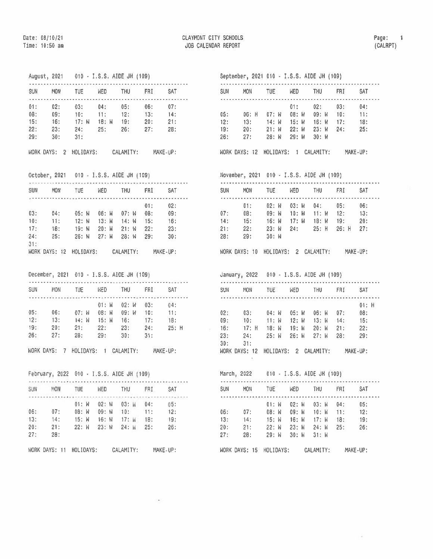## August, 2021 010 - I.S.S. AIDE JH (109)

| SUN                             | <b>MON</b>                      | TUE                               | <b>WED</b>                 | THU                      | FRI                      | SAT                      |
|---------------------------------|---------------------------------|-----------------------------------|----------------------------|--------------------------|--------------------------|--------------------------|
| 01:<br>08:<br>15:<br>22:<br>29: | 02:<br>09:<br>16:<br>23:<br>30: | 03:<br>10:<br>17: W<br>24:<br>31: | 04:<br>11:<br>18: W<br>25: | 05:<br>12:<br>19:<br>26: | 06:<br>13:<br>20:<br>27: | 07:<br>14:<br>21:<br>28: |

| WORK DAYS: |  | HOLIDAYS: | CALAMITY: | MAKE-UP: |
|------------|--|-----------|-----------|----------|
|------------|--|-----------|-----------|----------|

October, 2021 010 - I.S.S. AIDE JH (109)

| SUN | <b>MON</b>    | TUE       | <b>WED</b> | <b>THU</b> | FRI | SAT      |
|-----|---------------|-----------|------------|------------|-----|----------|
|     |               |           |            |            | 01: | 02:      |
| 03: | 04:           | 05: W     | $06:$ $M$  | $07:$ M    | 08: | 09:      |
| 10: | 11:           | 12: W     | $13:$ $M$  | $14:$ M    | 15: | 16:      |
| 17: | 18:           | 19: W     | $20:$ $M$  | $21:$ W    | 22: | 23:      |
| 24: | 25:           | 26: M     | $27:$ $M$  | 28: W      | 29: | 30:      |
| 31: |               |           |            |            |     |          |
|     | WORK DAYS: 12 | HOLIDAYS: |            | CALAMITY:  |     | MAKE-UP: |
|     |               |           |            |            |     |          |

December, 2021 010 - I.S.S. AIDE JH (109)

| SUN | <b>MON</b> | TUE   | <b>NED</b>    | <b>THU</b> | FR1    | SAT   |
|-----|------------|-------|---------------|------------|--------|-------|
|     |            |       | $01: M$ 02: W |            | 03:    | 04:   |
| 05: | 06:        | 07: M | 08: W         | 09:W       | $-10:$ | 11:   |
| 12: | 13:        | 14: M | $15:$ $N$     | 16:        | 17:    | 18:   |
| 19: | 20:        | 21:   | 22:           | 23:        | 24:    | 25: H |
| 26: | 27:        | 28:   | 29:           | 30:        | 31:    |       |
|     |            |       |               |            |        |       |

WORK DAYS: 7 HOLIDAYS: 1 CALAMITY: MAKE-UP:

February, 2022 010 - I.S.S. AIDE JH (109)

| SUN - | <b>MON</b> | TUE       | MED | THU                         | FRI. | <b>SAT</b> |  |
|-------|------------|-----------|-----|-----------------------------|------|------------|--|
|       |            | $01:$ $M$ |     | $02: M$ 03: $M$ 04:         |      | 05:        |  |
| 06:   | 07:        |           |     | $08: M$ 09: M 10: 11:       |      | 12:        |  |
| 13:   | 14:        |           |     | $15: W$ 16: $W$ 17: $W$ 18: |      | 19:        |  |
| 20:   | 21:        | $22:$ M   |     | $23: W$ 24: W 25:           |      | 26:        |  |
| 27:   | 28:        |           |     |                             |      |            |  |
|       |            |           |     |                             |      |            |  |

## WORK DAYS: 11 HOLIDAYS: CALAMITY: MAKE-UP:

## September, 2021 010 - I.S.S. AIDE JH (109)

| <b>SUN</b> | <b>MON</b> | TUE-                  | <b>WED</b> | <b>THU</b>            | <b>FRI</b> | <b>SAT</b> |
|------------|------------|-----------------------|------------|-----------------------|------------|------------|
|            |            |                       | 01:        | 02: 03:               |            | 04:        |
| 05:        | $06:$ H    |                       |            | 07: W 08: W 09: W 10: |            | $-11:$     |
| 12:        | 13:        | - 14: W - 15: W       |            | $16: W$ 17:           |            | 18:        |
| 19:        | 20:        | 21: W 22: W 23: W 24: |            |                       |            | 25:        |
| 26:        | $-27:$     | 28: W                 | $29:$ $N$  | - 30: W               |            |            |
|            |            |                       |            |                       |            |            |

WORK DAYS: 12 HOLIDAYS: 1 CALAMITY: MAKE-UP:

November, 2021 010 - I.S.S. AIDE JH (109)

| <b>SUN</b>               | MON                            | <b>TUE</b>                                                          | WED | <b>THU</b>                                   | FRI | <b>SAT</b>    |  |
|--------------------------|--------------------------------|---------------------------------------------------------------------|-----|----------------------------------------------|-----|---------------|--|
| 07:<br>14:<br>21:<br>28: | 01:<br>$-15:$<br>$-22:$<br>29: | 08: 09: W 10: W 11: W 12: 13:<br>16: W 17: W 18: W 19: 20:<br>30: W |     | 02: W 03: W 04: 05:<br>23: W 24: 25: H 26: H |     | 06:<br>$-27:$ |  |
|                          |                                |                                                                     |     |                                              |     |               |  |

WORK DAYS: 10 HOLIDAYS: 2 CALAMITY: MAKE-UP:

January, 2022 010 - I.S.S. AIDE JH (109)

| SUN | <b>MON</b>    | TUE.                  | WED                | <b>THU</b> | FRI | SAT      |  |
|-----|---------------|-----------------------|--------------------|------------|-----|----------|--|
|     |               |                       |                    |            |     | $01:$ H  |  |
| 02: | 03:           | 04:W                  | 05: W              | 06: W      | 07: | 08:      |  |
| 09: | 10:           | $-11:W$               | $12:$ $\mathsf{N}$ | -13: W     | 14: | 15:      |  |
| 16: | $-17:$ H      | 18: W                 | 19: M              | $20:$ M    | 21: | 22:      |  |
| 23: | 24:           | $25:$ M               | 26: M              | $27:$ M    | 28: | 29:      |  |
| 30: | 31:           |                       |                    |            |     |          |  |
|     | WORK DAYS: 12 | HOLIDAYS: 2 CALAMITY: |                    |            |     | MAKE-UP: |  |

March, 2022 010 - I.S.S. AIDE JH (109)

| <b>SUN</b> | <b>MON</b>    | <b>TUE</b> | WED       | THU       | FRI | SAT      |  |
|------------|---------------|------------|-----------|-----------|-----|----------|--|
|            |               | $01:$ $M$  | $02:$ M   | $03:$ $W$ | 04: | 05:      |  |
| 06:        | 07:           | 08: W      | $09:$ W   | -10: W    | 11: | 12:      |  |
| 13:        | 14:           | 15: W      | $16:$ $M$ | 17: W     | 18: | 19:      |  |
| 20:        | 21:           | $22:$ M    | 23: M     | 24: W     | 25: | 26:      |  |
| 27:        | 28:           | 29: W      | $30:$ $M$ | $31:$ M   |     |          |  |
|            | WORK DAYS: 15 | HOLIDAYS:  |           | CALAMITY: |     | MAKE-UP: |  |